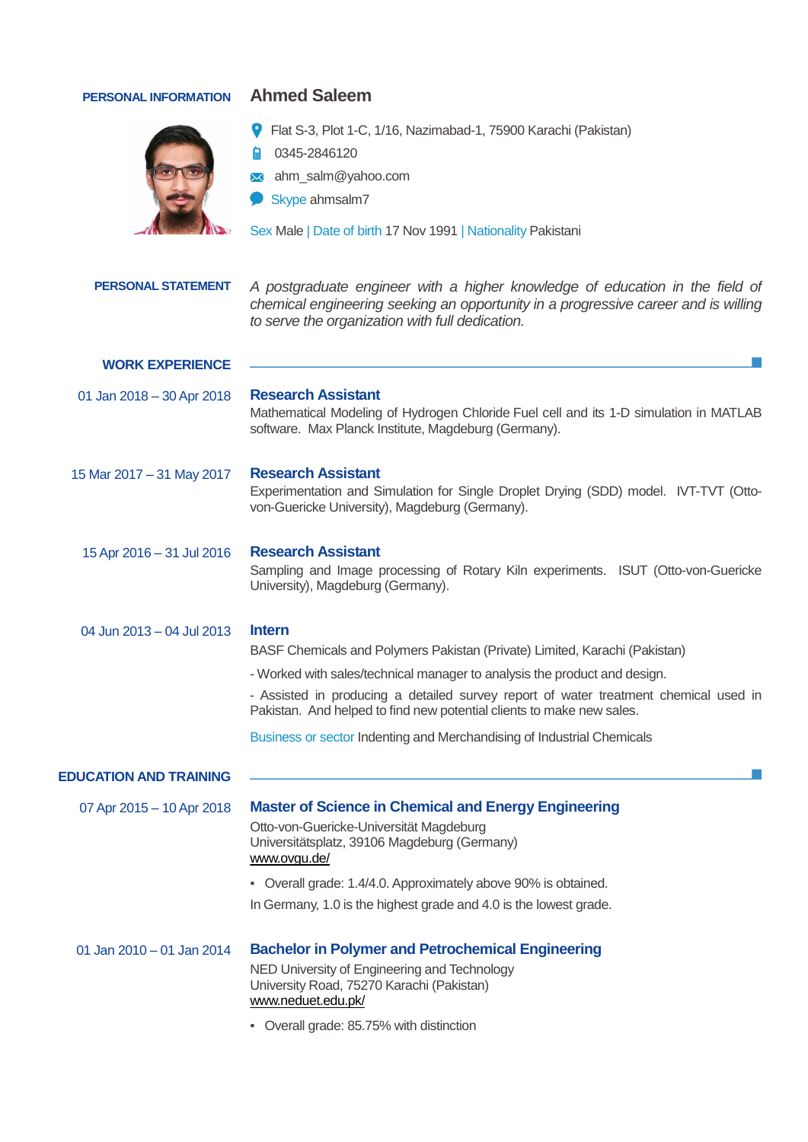## **PERSONAL INFORMATION Ahmed Saleem**



- Flat S-3, Plot 1-C, 1/16, Nazimabad-1, 75900 Karachi (Pakistan)
- 0345-2846120
- ahm\_salm@yahoo.com
- Skype ahmsalm7

Sex Male | Date of birth 17 Nov 1991 | Nationality Pakistani

| <b>PERSONAL STATEMENT</b>     | A postgraduate engineer with a higher knowledge of education in the field of<br>chemical engineering seeking an opportunity in a progressive career and is willing<br>to serve the organization with full dedication.                                                                                                                                                                                               |  |  |  |
|-------------------------------|---------------------------------------------------------------------------------------------------------------------------------------------------------------------------------------------------------------------------------------------------------------------------------------------------------------------------------------------------------------------------------------------------------------------|--|--|--|
| <b>WORK EXPERIENCE</b>        |                                                                                                                                                                                                                                                                                                                                                                                                                     |  |  |  |
| 01 Jan 2018 - 30 Apr 2018     | <b>Research Assistant</b><br>Mathematical Modeling of Hydrogen Chloride Fuel cell and its 1-D simulation in MATLAB<br>software. Max Planck Institute, Magdeburg (Germany).                                                                                                                                                                                                                                          |  |  |  |
| 15 Mar 2017 - 31 May 2017     | <b>Research Assistant</b><br>Experimentation and Simulation for Single Droplet Drying (SDD) model. IVT-TVT (Otto-<br>von-Guericke University), Magdeburg (Germany).                                                                                                                                                                                                                                                 |  |  |  |
| 15 Apr 2016 - 31 Jul 2016     | <b>Research Assistant</b><br>Sampling and Image processing of Rotary Kiln experiments. ISUT (Otto-von-Guericke<br>University), Magdeburg (Germany).                                                                                                                                                                                                                                                                 |  |  |  |
| 04 Jun 2013 – 04 Jul 2013     | <b>Intern</b><br>BASF Chemicals and Polymers Pakistan (Private) Limited, Karachi (Pakistan)<br>- Worked with sales/technical manager to analysis the product and design.<br>- Assisted in producing a detailed survey report of water treatment chemical used in<br>Pakistan. And helped to find new potential clients to make new sales.<br>Business or sector Indenting and Merchandising of Industrial Chemicals |  |  |  |
| <b>EDUCATION AND TRAINING</b> |                                                                                                                                                                                                                                                                                                                                                                                                                     |  |  |  |
| 07 Apr 2015 - 10 Apr 2018     | <b>Master of Science in Chemical and Energy Engineering</b><br>Otto-von-Guericke-Universität Magdeburg<br>Universitätsplatz, 39106 Magdeburg (Germany)<br>www.ovgu.de/<br>• Overall grade: 1.4/4.0. Approximately above 90% is obtained.<br>In Germany, 1.0 is the highest grade and 4.0 is the lowest grade.                                                                                                       |  |  |  |
| 01 Jan 2010 - 01 Jan 2014     | <b>Bachelor in Polymer and Petrochemical Engineering</b><br>NED University of Engineering and Technology<br>University Road, 75270 Karachi (Pakistan)<br>www.neduet.edu.pk/<br>• Overall grade: 85.75% with distinction                                                                                                                                                                                             |  |  |  |